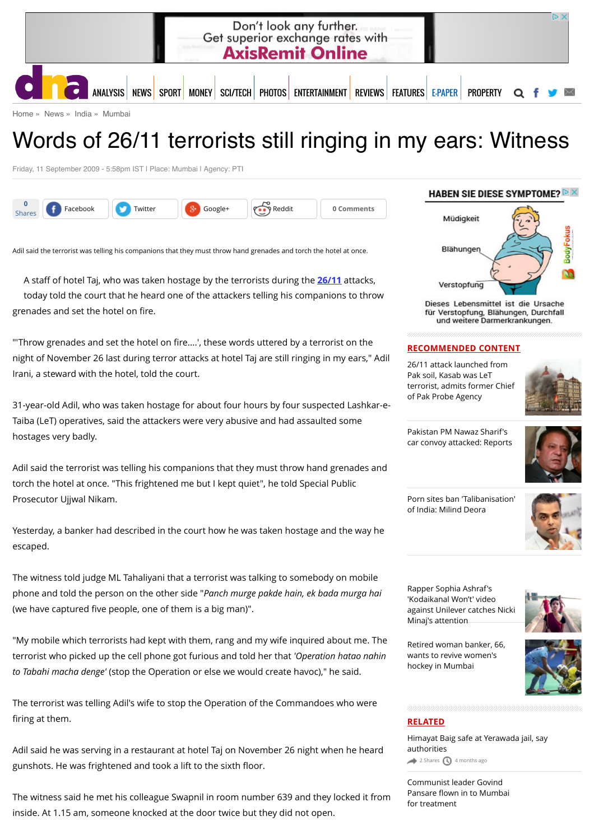

[Home](http://www.dnaindia.com/) » [News](http://www.dnaindia.com/news) » [India](http://www.dnaindia.com/india) » [Mumbai](http://www.dnaindia.com/mumbai)

# Words of 26/11 terrorists still ringing in my ears: Witness

Friday, 11 September 2009 - 5:58pm IST | Place: Mumbai | Agency: PTI



Adil said the terrorist was telling his companions that they must throw hand grenades and torch the hotel at once.

A staff of hotel Taj, who was taken hostage by the terrorists during the **[26/11](http://www.dnaindia.com/topic/2611)** attacks, today told the court that he heard one of the attackers telling his companions to throw grenades and set the hotel on fire.

"'Throw grenades and set the hotel on fire....', these words uttered by a terrorist on the night of November 26 last during terror attacks at hotel Taj are still ringing in my ears," Adil Irani, a steward with the hotel, told the court.

31-year-old Adil, who was taken hostage for about four hours by four suspected Lashkar-e-Taiba (LeT) operatives, said the attackers were very abusive and had assaulted some hostages very badly.

Adil said the terrorist was telling his companions that they must throw hand grenades and torch the hotel at once. "This frightened me but I kept quiet", he told Special Public Prosecutor Ujjwal Nikam.

Yesterday, a banker had described in the court how he was taken hostage and the way he escaped.

The witness told judge ML Tahaliyani that a terrorist was talking to somebody on mobile phone and told the person on the other side "*Panch murge pakde hain, ek bada murga hai* (we have captured five people, one of them is a big man)".

"My mobile which terrorists had kept with them, rang and my wife inquired about me. The terrorist who picked up the cell phone got furious and told her that *'Operation hatao nahin to Tabahi macha denge'* (stop the Operation or else we would create havoc)," he said.

The terrorist was telling Adil's wife to stop the Operation of the Commandoes who were firing at them.

Adil said he was serving in a restaurant at hotel Taj on November 26 night when he heard gunshots. He was frightened and took a lift to the sixth floor.

The witness said he met his colleague Swapnil in room number 639 and they locked it from inside. At 1.15 am, someone knocked at the door twice but they did not open.

#### HABEN SIE DIESE SYMPTOME?  $\triangleright$   $\times$



Dieses Lebensmittel ist die Ursache für Verstopfung, Blähungen, Durchfall und weitere Darmerkrankungen.

#### **RECOMMENDED CONTENT**

26/11 attack launched from Pak soil, Kasab was LeT [terrorist, admits former Chief](http://www.dnaindia.com/india/report-2611-attack-launched-from-pak-soil-kasab-was-let-terrorist-admits-former-chief-of-pak-probe-agency-2110976) of Pak Probe Agency



Pakistan PM Nawaz Sharif's [car convoy attacked: Reports](http://www.dnaindia.com/world/report-pakistan-pm-nawaz-sharif-s-car-convoy-attacked-reports-2110507)



[Porn sites ban 'Talibanisation'](http://www.dnaindia.com/india/report-porn-sites-ban-talibanisation-of-india-milind-deora-2110734) of India: Milind Deora



Rapper Sophia Ashraf's 'Kodaikanal Won't' video [against Unilever catches Nicki](http://www.dnaindia.com/india/report-rapper-sophia-ashraf-s-kodaikanal-won-t-video-against-unilever-catches-nicki-minaj-s-attention-2110652) Minaj's attention



[Retired woman banker, 66,](http://www.dnaindia.com/mumbai/report-retired-woman-banker-66-wants-to-revive-women-s-hockey-in-mumbai-2110524) wants to revive women's hockey in Mumbai



#### **RELATED**

[Himayat Baig safe at Yerawada jail, say](http://www.dnaindia.com/mumbai/report-himayat-baig-safe-at-yerawada-jail-say-authorities-2068300) authorities  $2$  Shares  $\bigcirc$  [4 months ago](http://www.dnaindia.com/mumbai/report-words-of-2611-terrorists-still-ringing-in-my-ears-witness-1289361#)

[Communist leader Govind](http://www.dnaindia.com/mumbai/report-communist-leader-govind-pansare-flown-in-to-mumbai-for-treatment-2062731) Pansare flown in to Mumbai for treatment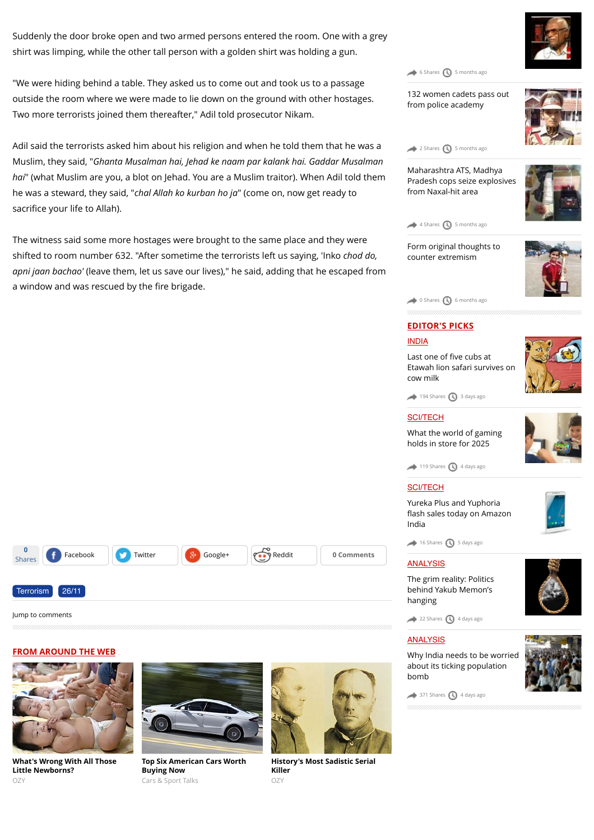Suddenly the door broke open and two armed persons entered the room. One with a grey shirt was limping, while the other tall person with a golden shirt was holding a gun.

"We were hiding behind a table. They asked us to come out and took us to a passage outside the room where we were made to lie down on the ground with other hostages. Two more terrorists joined them thereafter," Adil told prosecutor Nikam.

Adil said the terrorists asked him about his religion and when he told them that he was a Muslim, they said, "*Ghanta Musalman hai, Jehad ke naam par kalank hai. Gaddar Musalman hai*" (what Muslim are you, a blot on Jehad. You are a Muslim traitor). When Adil told them he was a steward, they said, "*chal Allah ko kurban ho ja*" (come on, now get ready to sacrifice your life to Allah).

The witness said some more hostages were brought to the same place and they were shifted to room number 632. "After sometime the terrorists left us saying, 'Inko *chod do, apni jaan bachao'* (leave them, let us save our lives)," he said, adding that he escaped from a window and was rescued by the fire brigade.

Maharashtra ATS, Madhya [Pradesh cops seize explosives](http://www.dnaindia.com/mumbai/report-maharashtra-ats-madhya-pradesh-cops-seize-explosives-from-naxal-hit-area-2059072) from Naxal-hit area

[132 women cadets pass out](http://www.dnaindia.com/mumbai/report-132-women-cadets-pass-out-from-police-academy-2060513) from police academy

 $\leftrightarrow$  [6 Shares](http://www.dnaindia.com/mumbai/report-words-of-2611-terrorists-still-ringing-in-my-ears-witness-1289361#)  $\bigcirc$  [5 months ago](http://www.dnaindia.com/mumbai/report-words-of-2611-terrorists-still-ringing-in-my-ears-witness-1289361#)

 $2$  Shares  $\bigcirc$  [5 months ago](http://www.dnaindia.com/mumbai/report-words-of-2611-terrorists-still-ringing-in-my-ears-witness-1289361#)





[Form original thoughts to](http://www.dnaindia.com/mumbai/column-form-original-thoughts-to-counter-extremism-2053683) counter extremism



### **EDITOR'S PICKS**

[0 Shares](http://www.dnaindia.com/mumbai/report-words-of-2611-terrorists-still-ringing-in-my-ears-witness-1289361#) 1 [6 months ago](http://www.dnaindia.com/mumbai/report-words-of-2611-terrorists-still-ringing-in-my-ears-witness-1289361#)

#### [INDIA](http://www.dnaindia.com/india)

Last one of five cubs at [Etawah lion safari survives on](http://www.dnaindia.com/india/report-last-one-of-five-cubs-at-etawah-lion-safari-survives-on-cow-milk-2109981) cow milk



#### **[SCI/TECH](http://www.dnaindia.com/scitech)**

[What the world of gaming](http://www.dnaindia.com/scitech/report-immersion-is-the-name-of-the-game-2109432) holds in store for 2025



#### [SCI/TECH](http://www.dnaindia.com/scitech)

Yureka Plus and Yuphoria fl[ash sales today on Amazon](http://www.dnaindia.com/scitech/report-yureka-plus-and-yuphoria-flash-sales-today-on-amazon-india-2109499) India



 $\bigcirc$  [16 Shares](http://www.dnaindia.com/mumbai/report-words-of-2611-terrorists-still-ringing-in-my-ears-witness-1289361#)  $\bigcirc$  [5 days ago](http://www.dnaindia.com/mumbai/report-words-of-2611-terrorists-still-ringing-in-my-ears-witness-1289361#)

#### [ANALYSIS](http://www.dnaindia.com/analysis)

[The grim reality: Politics](http://www.dnaindia.com/analysis/editorial-the-grim-reality-politics-behind-yakub-memon-s-hanging-2109659) behind Yakub Memon's hanging

[22 Shares](http://www.dnaindia.com/mumbai/report-words-of-2611-terrorists-still-ringing-in-my-ears-witness-1289361#) [4 days ago](http://www.dnaindia.com/mumbai/report-words-of-2611-terrorists-still-ringing-in-my-ears-witness-1289361#)

#### [ANALYSIS](http://www.dnaindia.com/analysis)

[Why India needs to be worried](http://www.dnaindia.com/analysis/editorial-dnaedit-population-bomb-2109662) about its ticking population bomb



 $\rightarrow$  [371 Shares](http://www.dnaindia.com/mumbai/report-words-of-2611-terrorists-still-ringing-in-my-ears-witness-1289361#)  $\bigcirc$  [4 days ago](http://www.dnaindia.com/mumbai/report-words-of-2611-terrorists-still-ringing-in-my-ears-witness-1289361#)





**0**

[Terrorism](http://www.dnaindia.com/topic/terrorism) [26/11](http://www.dnaindia.com/topic/2611)

[Jump to comments](http://www.dnaindia.com/mumbai/report-words-of-2611-terrorists-still-ringing-in-my-ears-witness-1289361#comments)

**[What's Wrong With All Those](http://www.ozy.com/acumen/whats-wrong-with-all-those-little-newborns/40384?utm_source=Outbrain&utm_medium=CPC&utm_campaign=INTL%20-%20All%20Clicks%20ALL%20Devices) Little Newborns?** OZY



Shares **f** [Facebook](https://www.facebook.com/sharer/sharer.php?u=http%3A%2F%2Fwww.dnaindia.com%2Fmumbai%2Freport-words-of-2611-terrorists-still-ringing-in-my-ears-witness-1289361) [Twitter](https://twitter.com/share?url=http%3A%2F%2Fdnai.in%2F8Cio&lang=en&text=Words+of+26%2F11+terrorists+still+ringing+in+my+ears%3A+Witness&via=dna) **[Google+](https://plus.google.com/share?url=http%3A%2F%2Fwww.dnaindia.com%2Fmumbai%2Freport-words-of-2611-terrorists-still-ringing-in-my-ears-witness-1289361&hl=en) Comments** 

**[Top Six American Cars Worth](http://fryerschat.com/top-six-american-cars-worth-buying-now/) Buying Now** Cars & Sport Talks



**[History's Most Sadistic Serial](http://www.ozy.com/flashback/historys-most-sadistic-serial-killer/40585?utm_source=Outbrain&utm_medium=CPC&utm_campaign=INTL%20-%20All%20Clicks%20ALL%20Devices) Killer** OZY





 $119$  Shares  $\bigcirc$  [4 days ago](http://www.dnaindia.com/mumbai/report-words-of-2611-terrorists-still-ringing-in-my-ears-witness-1289361#)

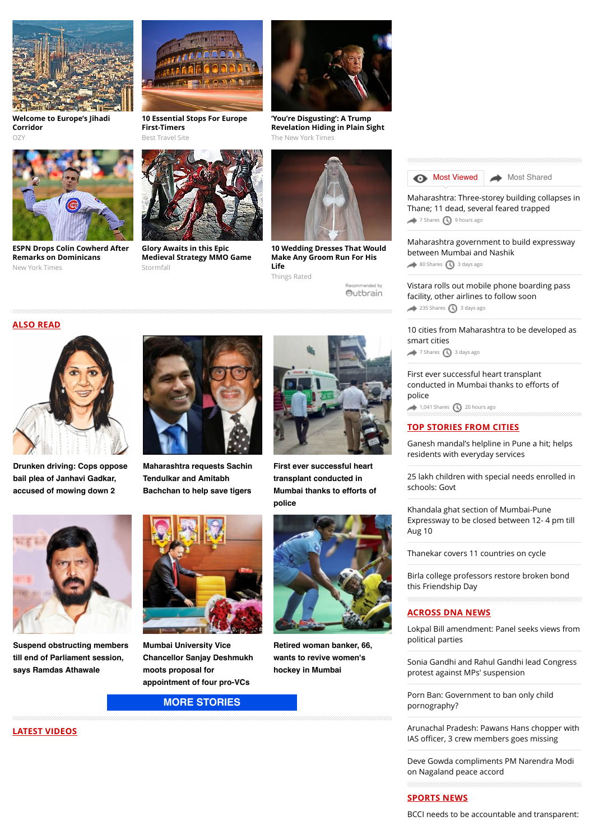

**[Welcome to Europe's Jihadi](http://www.ozy.com/fast-forward/welcome-to-europes-jihadi-corridor/60342?utm_source=Outbrain&utm_medium=CPC&utm_campaign=INTL%20-%20All%20Clicks%20ALL%20Devices) Corridor**  $OZ$ 



**[ESPN Drops Colin Cowherd After](http://www.nytimes.com/2015/07/25/sports/baseball/colin-cowherd-tries-to-explain-remarks-on-dominicans.html?WT.mc_id=2015-AUGUST-OTB-INTL_AUD_DEV-0801-0831&WT.mc_ev=click&ad-keywords=IntlAudDev) Remarks on Dominicans** New York Times



**[10 Essential Stops For Europe](http://travel-gist.com/10-essential-stops-for-europe-first-timers/) First-Timers**





**Glory Awaits in this Epic [Medieval Strategy MMO Game](http://plarium.com/en/strategy-games/stormfall-age-of-war/?plid=64580&pxl=outbrain&publisherID=SF_EN_US_1)** Stormfall



**'You're Disgusting': A Trump [Revelation Hiding in Plain Sight](http://www.nytimes.com/times-insider/2015/07/29/youre-disgusting-a-trump-revelation-hiding-in-plain-sight/?WT.mc_id=2015-AUGUST-OTB-INTL_AUD_DEV-0801-0831&WT.mc_ev=click&ad-keywords=IntlAudDev)** The New York Times



**[10 Wedding Dresses That Would](http://thingsrated.com/2015/06/25/10-wedding-dresses-that-would-make-any-groom-run-for-his-life/?utm_source=outbrain&utm_medium=cpc&utm_campaign=outbrain_top10_DE&utm_term=4777563) Make Any Groom Run For His Life** Things Rated

Recommended by Outbrain **[Most Viewed](http://www.dnaindia.com/mumbai/report-words-of-2611-terrorists-still-ringing-in-my-ears-witness-1289361#mostviewed) [Most Shared](http://www.dnaindia.com/mumbai/report-words-of-2611-terrorists-still-ringing-in-my-ears-witness-1289361#mostshared)** 

[Maharashtra: Three-storey building collapses in](http://www.dnaindia.com/mumbai/report-maharashtra-three-storey-building-collapses-in-thane-11-dead-several-feared-trapped-2110890) Thane; 11 dead, several feared trapped [7 Shares](http://www.dnaindia.com/mumbai/report-words-of-2611-terrorists-still-ringing-in-my-ears-witness-1289361#) 1[9 hours ago](http://www.dnaindia.com/mumbai/report-words-of-2611-terrorists-still-ringing-in-my-ears-witness-1289361#)

[Maharashtra government to build expressway](http://www.dnaindia.com/mumbai/report-maharashtra-government-to-build-expressway-between-mumbai-and-nashik-2109935) between Mumbai and Nashik

 $\leftrightarrow$  [80 Shares](http://www.dnaindia.com/mumbai/report-words-of-2611-terrorists-still-ringing-in-my-ears-witness-1289361#)  $\bigcirc$  [3 days ago](http://www.dnaindia.com/mumbai/report-words-of-2611-terrorists-still-ringing-in-my-ears-witness-1289361#)

[Vistara rolls out mobile phone boarding pass](http://www.dnaindia.com/mumbai/report-vistara-rolls-out-mobile-phone-boarding-pass-facility-other-airlines-to-follow-soon-2109930) facility, other airlines to follow soon  $235$  Shares  $\bigodot$  [3 days ago](http://www.dnaindia.com/mumbai/report-words-of-2611-terrorists-still-ringing-in-my-ears-witness-1289361#)

[10 cities from Maharashtra to be developed as](http://www.dnaindia.com/mumbai/report-10-cities-from-maharashtra-to-be-developed-as-smart-cities-2109979) smart cities  $\rightarrow$  [7 Shares](http://www.dnaindia.com/mumbai/report-words-of-2611-terrorists-still-ringing-in-my-ears-witness-1289361#)  $\bigcirc$  [3 days ago](http://www.dnaindia.com/mumbai/report-words-of-2611-terrorists-still-ringing-in-my-ears-witness-1289361#)

[First ever successful heart transplant](http://www.dnaindia.com/mumbai/report-first-ever-successful-heart-transplant-conducted-in-mumbai-thanks-to-efforts-of-police-2110832) conducted in Mumbai thanks to efforts of police  $1,041$  Shares  $\bigcirc$  [20 hours ago](http://www.dnaindia.com/mumbai/report-words-of-2611-terrorists-still-ringing-in-my-ears-witness-1289361#)

#### **TOP STORIES FROM CITIES**

[Ganesh mandal's helpline in Pune a hit; helps](http://www.dnaindia.com/pune/report-ganesh-mandal-s-helpline-in-pune-a-hit-helps-residents-with-everyday-services-2111012) residents with everyday services

[25 lakh children with special needs enrolled in](http://www.dnaindia.com/delhi/report-25-lakh-children-with-special-needs-enrolled-in-schools-govt-2110985) schools: Govt

Khandala ghat section of Mumbai-Pune [Expressway to be closed between 12- 4 pm till](http://www.dnaindia.com/mumbai/report-khandala-ghat-section-of-mumbai-pune-expressway-to-be-closed-from-12-4-pm-till-aug-10-2110914) Aug 10

[Thanekar covers 11 countries on cycle](http://www.dnaindia.com/mumbai/report-thanekar-covers-11-countries-on-cycle-2110888)

[Birla college professors restore broken bond](http://www.dnaindia.com/mumbai/report-birla-college-professors-restore-broken-bond-this-friendship-day-2110887) this Friendship Day

#### **ACROSS DNA NEWS**

[Lokpal Bill amendment: Panel seeks views from](http://www.dnaindia.com/india/report-lokpal-bill-amendment-panel-seeks-views-from-political-parties-2111030) political parties

[Sonia Gandhi and Rahul Gandhi lead Congress](http://www.dnaindia.com/india/report-sonia-gandhi-and-rahul-gandhi-lead-congress-protest-against-mps-suspension-2111039) protest against MPs' suspension

[Porn Ban: Government to ban only child](http://www.dnaindia.com/india/report-porn-ban-government-to-ban-only-child-pornography-2111057) pornography?

[Arunachal Pradesh: Pawans Hans chopper with](http://www.dnaindia.com/india/report-arunachal-pradesh-pawans-hans-chopper-with-ias-officer-2-others-goes-missing-2110994) IAS officer, 3 crew members goes missing

[Deve Gowda compliments PM Narendra Modi](http://www.dnaindia.com/india/report-deve-gowda-compliments-pm-narendra-modi-on-nagaland-peace-accord-2111025) on Nagaland peace accord

#### **SPORTS NEWS**

[BCCI needs to be accountable and transparent:](http://www.dnaindia.com/sport/report-bcci-needs-to-be-accountable-and-transparent-sports-minister-sarbananda-sonowal-2111038)

#### **ALSO READ**



**[Drunken driving: Cops oppose](http://www.dnaindia.com/mumbai/report-drunken-driving-cops-oppose-bail-plea-of-janhavi-gadkar-accused-of-mowing-down-2-2110873) bail plea of Janhavi Gadkar, accused of mowing down 2**



**[Maharashtra requests Sachin](http://www.dnaindia.com/mumbai/report-maharashtra-requests-sachin-tendulkar-and-amitabh-bachchan-to-help-save-tigers-2110838) Tendulkar and Amitabh Bachchan to help save tigers**



**First ever successful heart transplant conducted in [Mumbai thanks to efforts of](http://www.dnaindia.com/mumbai/report-first-ever-successful-heart-transplant-conducted-in-mumbai-thanks-to-efforts-of-police-2110832) police**



**[Retired woman banker, 66,](http://www.dnaindia.com/mumbai/report-retired-woman-banker-66-wants-to-revive-women-s-hockey-in-mumbai-2110524) wants to revive women's hockey in Mumbai**

#### **LATEST VIDEOS**

**[Suspend obstructing members](http://www.dnaindia.com/mumbai/report-suspend-obstructing-members-till-end-of-parliament-session-says-ramdas-athawale-2110708) till end of Parliament session, says Ramdas Athawale**



**Mumbai University Vice [Chancellor Sanjay Deshmukh](http://www.dnaindia.com/mumbai/report-mumbai-university-vice-chancellor-sanjay-deshmukh-moots-proposal-for-appointment-of-four-pro-vcs-2110578) moots proposal for appointment of four pro-VCs**

## **[MORE STORIES](http://www.dnaindia.com/mumbai)**